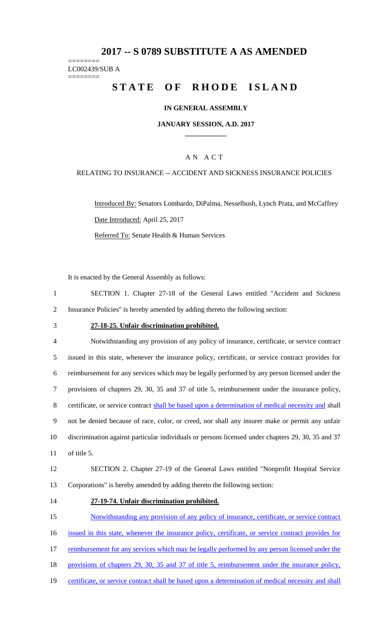## **2017 -- S 0789 SUBSTITUTE A AS AMENDED**

======== LC002439/SUB A

========

# **STATE OF RHODE ISLAND**

### **IN GENERAL ASSEMBLY**

#### **JANUARY SESSION, A.D. 2017 \_\_\_\_\_\_\_\_\_\_\_\_**

### A N A C T

#### RELATING TO INSURANCE -- ACCIDENT AND SICKNESS INSURANCE POLICIES

Introduced By: Senators Lombardo, DiPalma, Nesselbush, Lynch Prata, and McCaffrey Date Introduced: April 25, 2017 Referred To: Senate Health & Human Services

It is enacted by the General Assembly as follows:

1 SECTION 1. Chapter 27-18 of the General Laws entitled "Accident and Sickness 2 Insurance Policies" is hereby amended by adding thereto the following section:

#### 3 **27-18-25. Unfair discrimination prohibited.**

 Notwithstanding any provision of any policy of insurance, certificate, or service contract issued in this state, whenever the insurance policy, certificate, or service contract provides for reimbursement for any services which may be legally performed by any person licensed under the provisions of chapters 29, 30, 35 and 37 of title 5, reimbursement under the insurance policy, 8 certificate, or service contract shall be based upon a determination of medical necessity and shall not be denied because of race, color, or creed, nor shall any insurer make or permit any unfair discrimination against particular individuals or persons licensed under chapters 29, 30, 35 and 37 of title 5.

# 12 SECTION 2. Chapter 27-19 of the General Laws entitled "Nonprofit Hospital Service 13 Corporations" is hereby amended by adding thereto the following section:

#### 14 **27-19-74. Unfair discrimination prohibited.**

15 Notwithstanding any provision of any policy of insurance, certificate, or service contract 16 issued in this state, whenever the insurance policy, certificate, or service contract provides for 17 reimbursement for any services which may be legally performed by any person licensed under the 18 provisions of chapters 29, 30, 35 and 37 of title 5, reimbursement under the insurance policy,

19 certificate, or service contract shall be based upon a determination of medical necessity and shall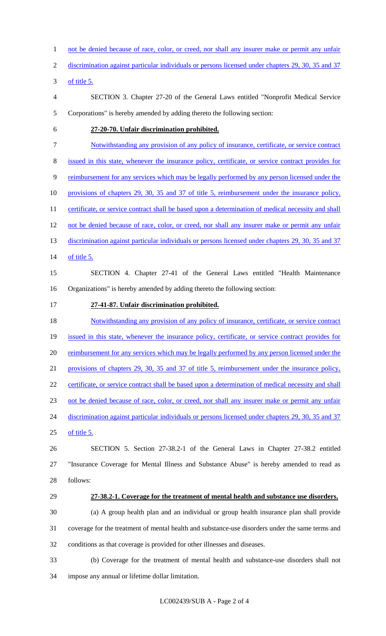not be denied because of race, color, or creed, nor shall any insurer make or permit any unfair

discrimination against particular individuals or persons licensed under chapters 29, 30, 35 and 37

of title 5.

- SECTION 3. Chapter 27-20 of the General Laws entitled "Nonprofit Medical Service Corporations" is hereby amended by adding thereto the following section:
- 

#### **27-20-70. Unfair discrimination prohibited.**

- Notwithstanding any provision of any policy of insurance, certificate, or service contract
- issued in this state, whenever the insurance policy, certificate, or service contract provides for
- reimbursement for any services which may be legally performed by any person licensed under the
- provisions of chapters 29, 30, 35 and 37 of title 5, reimbursement under the insurance policy,
- 11 certificate, or service contract shall be based upon a determination of medical necessity and shall
- 12 not be denied because of race, color, or creed, nor shall any insurer make or permit any unfair
- 13 discrimination against particular individuals or persons licensed under chapters 29, 30, 35 and 37
- of title 5.
- SECTION 4. Chapter 27-41 of the General Laws entitled "Health Maintenance Organizations" is hereby amended by adding thereto the following section:
- **27-41-87. Unfair discrimination prohibited.**

18 Notwithstanding any provision of any policy of insurance, certificate, or service contract

- issued in this state, whenever the insurance policy, certificate, or service contract provides for
- 20 reimbursement for any services which may be legally performed by any person licensed under the

provisions of chapters 29, 30, 35 and 37 of title 5, reimbursement under the insurance policy,

22 certificate, or service contract shall be based upon a determination of medical necessity and shall

- not be denied because of race, color, or creed, nor shall any insurer make or permit any unfair
- 24 discrimination against particular individuals or persons licensed under chapters 29, 30, 35 and 37 of title 5.
- SECTION 5. Section 27-38.2-1 of the General Laws in Chapter 27-38.2 entitled "Insurance Coverage for Mental Illness and Substance Abuse" is hereby amended to read as follows:
- 

# **27-38.2-1. Coverage for the treatment of mental health and substance use disorders.**

 (a) A group health plan and an individual or group health insurance plan shall provide coverage for the treatment of mental health and substance-use disorders under the same terms and conditions as that coverage is provided for other illnesses and diseases.

 (b) Coverage for the treatment of mental health and substance-use disorders shall not impose any annual or lifetime dollar limitation.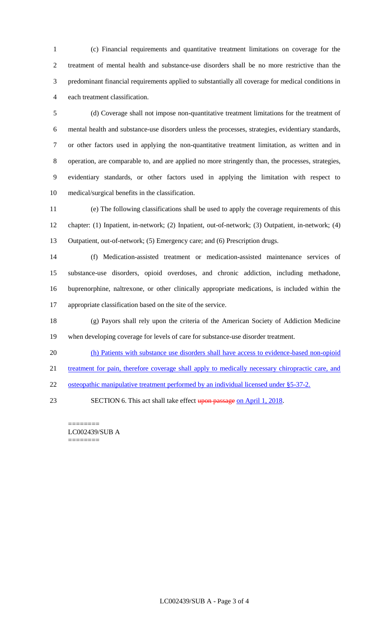(c) Financial requirements and quantitative treatment limitations on coverage for the treatment of mental health and substance-use disorders shall be no more restrictive than the predominant financial requirements applied to substantially all coverage for medical conditions in each treatment classification.

 (d) Coverage shall not impose non-quantitative treatment limitations for the treatment of mental health and substance-use disorders unless the processes, strategies, evidentiary standards, or other factors used in applying the non-quantitative treatment limitation, as written and in operation, are comparable to, and are applied no more stringently than, the processes, strategies, evidentiary standards, or other factors used in applying the limitation with respect to medical/surgical benefits in the classification.

 (e) The following classifications shall be used to apply the coverage requirements of this chapter: (1) Inpatient, in-network; (2) Inpatient, out-of-network; (3) Outpatient, in-network; (4) Outpatient, out-of-network; (5) Emergency care; and (6) Prescription drugs.

 (f) Medication-assisted treatment or medication-assisted maintenance services of substance-use disorders, opioid overdoses, and chronic addiction, including methadone, buprenorphine, naltrexone, or other clinically appropriate medications, is included within the appropriate classification based on the site of the service.

 (g) Payors shall rely upon the criteria of the American Society of Addiction Medicine when developing coverage for levels of care for substance-use disorder treatment.

(h) Patients with substance use disorders shall have access to evidence-based non-opioid

21 treatment for pain, therefore coverage shall apply to medically necessary chiropractic care, and

22 osteopathic manipulative treatment performed by an individual licensed under §5-37-2.

23 SECTION 6. This act shall take effect upon passage on April 1, 2018.

======== LC002439/SUB A ========